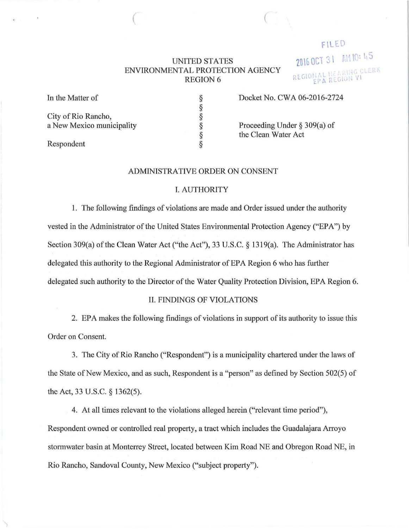# UNITED STATES ENVIRONMENTAL PROTECTION AGENCY REGION 6

 $\bigcap$ 

FILED 2016 OCT 31 AM 10: 45 REGIONAL HEARING CLERK

In the Matter of

City of Rio Rancho, a New Mexico municipality § § § § § §

Docket No. CWA 06-2016-2724

Proceeding Under§ 309(a) of the Clean Water Act

Respondent

## ADMINISTRATIVE ORDER ON CONSENT

## I. AUTHORITY

1. The following findings of violations are made and Order issued under the authority vested in the Administrator of the United States Environmental Protection Agency ("EPA") by Section 309(a) of the Clean Water Act ("the Act"), 33 U.S.C. § 1319(a). The Administrator has delegated this authority to the Regional Administrator of EPA Region 6 who has further delegated such authority to the Director of the Water Quality Protection Division, EPA Region 6.

## II. FINDINGS OF VIOLATIONS

2. EPA makes the following findings of violations in support of its authority to issue this Order on Consent.

3. The City of Rio Rancho ("Respondent") is a municipality chartered under the laws of the State of New Mexico, and as such, Respondent is a "person" as defined by Section 502(5) of the Act, 33 U.S.C. § 1362(5).

4. At all times relevant to the violations alleged herein ("relevant time period"), Respondent owned or controlled real property, a tract which includes the Guadalajara Arroyo stormwater basin at Monterrey Street, located between Kim Road NE and Obregon Road NE, in Rio Rancho, Sandoval County, New Mexico ("subject propetty").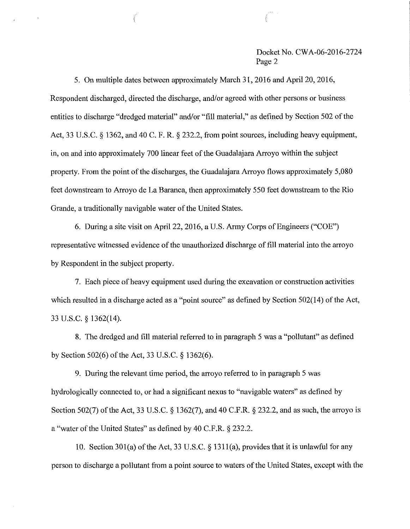## Docket No. CWA-06-2016-2724 Page 2

5. On multiple dates between approximately March 31,2016 and April20, 2016, Respondent discharged, directed the discharge, and/or agreed with other persons or business entities to discharge "dredged material" and/or "fill material," as defined by Section 502 of the Act, 33 U.S.C. § 1362, and 40 C. F. R. § 232.2, from point sources, including heavy equipment, in, on and into approximately 700 linear feet of the Guadalajara Arroyo within the subject property. From the point of the discharges, the Guadalajara Arroyo flows approximately 5,080 feet downstream to Arroyo de La Baranca, then approximately 550 feet downstream to the Rio Grande, a traditionally navigable water of the United States.

6. During a site visit on April22, 2016, a U.S. Army Corps of Engineers ("COE") representative witnessed evidence of the unauthorized discharge of fill material into the arroyo by Respondent in the subject property.

7. Each piece of heavy equipment used during the excavation or construction activities which resulted in a discharge acted as a "point source" as defined by Section  $502(14)$  of the Act, 33 U.S.C. § 1362(14).

8. The dredged and fill material refened to in paragraph 5 was a "pollutant" as defined by Section 502(6) of the Act, 33 U.S.C. § 1362(6).

9. During the relevant time period, the arroyo referred to in paragraph 5 was hydrologically connected to, or had a significant nexus to "navigable waters" as defined by Section 502(7) of the Act, 33 U.S.C. § 1362(7), and 40 C.F.R. § 232.2, and as such, the arroyo is a "water of the United States" as defined by 40 C.F.R. § 232.2.

10. Section 301(a) of the Act, 33 U.S.C. § 1311(a), provides that it is unlawful for any person to discharge a pollutant from a point source to waters of the United States, except with the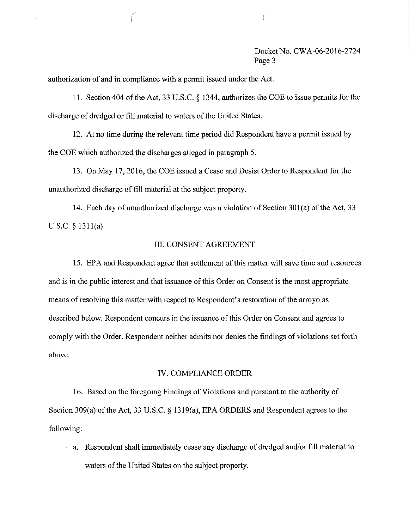## Docket No. CWA-06-2016-2724 Page 3

authorization of and in compliance with a permit issued under the Act.

11. Section 404 of the Act, 33 U.S.C. § 1344, authorizes the COE to issue permits for the discharge of dredged or fill material to waters of the United States.

12. At no time during the relevant time period did Respondent have a permit issued by the COE which authorized the discharges alleged in paragraph 5.

13. On May 17,2016, the COE issued a Cease and Desist Order to Respondent for the unauthorized discharge of fill material at the subject property.

14. Each day of unauthorized discharge was a violation of Section 301(a) of the Act, 33 U.S.C. § 1311(a).

## III. CONSENT AGREEMENT

15. EPA and Respondent agree that settlement of this matter will save time and resources and is in the public interest and that issuance of this Order on Consent is the most appropriate means of resolving this matter with respect to Respondent's restoration of the arroyo as described below. Respondent concurs in the issuance of this Order on Consent and agrees to comply with the Order. Respondent neither admits nor denies the fmdings of violations set forth above.

#### IV. COMPLIANCE ORDER

16. Based on the foregoing Findings of Violations and pursuant to the authority of Section 309(a) of the Act, 33 U.S.C. § 1319(a), EPA ORDERS and Respondent agrees to the following:

a. Respondent shall immediately cease any discharge of dredged and/or fill material to waters of the United States on the subject property.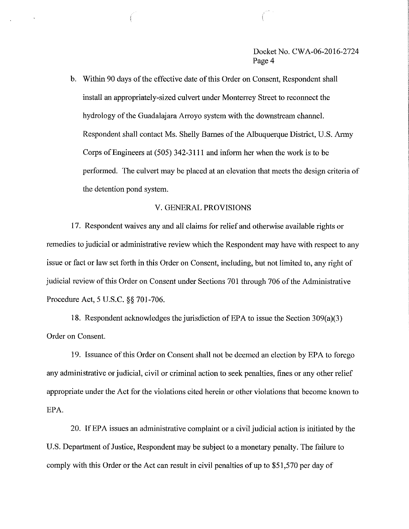Docket No. CWA-06-2016-2724 Page 4

b. Within 90 days of the effective date of this Order on Consent, Respondent shall install an appropriately-sized culvert under Monteney Street to reconnect the hydrology of the Guadalajara Arroyo system with the downstream channel. Respondent shall contact Ms. Shelly Barnes of the Albuquerque District, U.S. Atmy Corps of Engineers at (505) 342-3111 and inform her when the work is to be performed. The culvert may be placed at an elevation that meets the design criteria of the detention pond system.

## V. GENERAL PROVISIONS

17. Respondent waives any and all claims for relief and otherwise available rights or remedies to judicial or administrative review which the Respondent may have with respect to any issue or fact or law set forth in this Order on Consent, including, but not limited to, any right of judicial review of this Order on Consent under Sections 701 through 706 of the Administrative Procedure Act, 5 U.S.C. §§ 701-706.

18. Respondent acknowledges the jurisdiction of EPA to issue the Section 309(a)(3) Order on Consent.

19. Issuance of this Order on Consent shall not be deemed an election by EPA to forego any administrative or judicial, civil or criminal action to seek penalties, fines or any other relief appropriate under the Act for the violations cited herein or other violations that become known to EPA.

20. If EPA issues an administrative complaint or a civil judicial action is initiated by the U.S. Department of Justice, Respondent may be subject to a monetary penalty. The failure to comply with this Order or the Act can result in civil penalties of up to \$51,570 per day of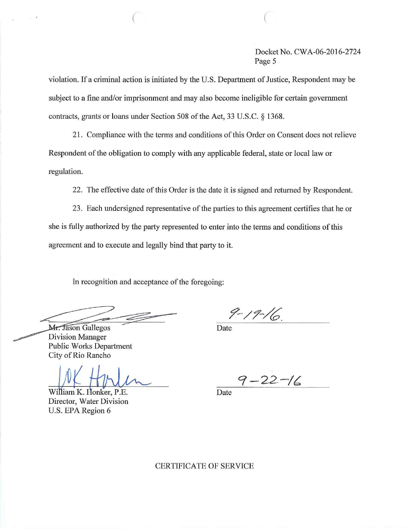Docket No. CWA-06-2016-2724 Page 5

violation. If a criminal action is initiated by the U.S. Department of Justice, Respondent may be subject to a fine and/or imprisonment and may also become ineligible for certain government contracts, grants or loans under Section 508 of the Act, 33 U.S.C. § 1368.

 $\bigcap$ 

21. Compliance with the terms and conditions of this Order on Consent does not relieve Respondent of the obligation to comply with any applicable federal, state or local law or regulation.

22. The effective date of this Order is the date it is signed and returned by Respondent.

23. Each undersigned representative of the parties to this agreement certifies that he or she is fully authorized by the party represented to enter into the terms and conditions of this agreement and to execute and legally bind that party to it.

In recognition and acceptance of the foregoing:

 $9 - 19 - 16$ 

Date

Mr. Jason Gallegos Division Manager Public Works Department City of Rio Rancho

William K. Honker, P.E. Director, Water Division U.S. EPA Region 6

 $7 - 22 - 16$ 

Date

CERTIFICATE OF SERVICE